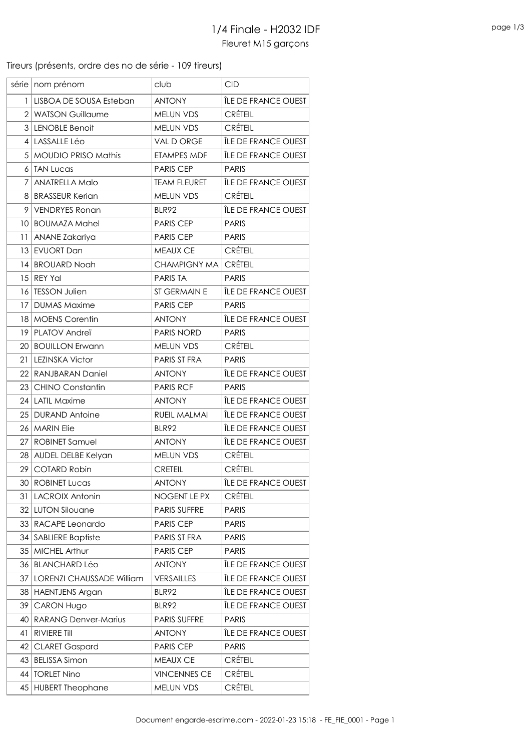Tireurs (présents, ordre des no de série - 109 tireurs)

|                 | série   nom prénom               | club                | <b>CID</b>                 |
|-----------------|----------------------------------|---------------------|----------------------------|
| 1               | LISBOA DE SOUSA Esteban          | <b>ANTONY</b>       | ÎLE DE FRANCE OUEST        |
| $\overline{2}$  | <b>WATSON Guillaume</b>          | MELUN VDS           | <b>CRÉTEIL</b>             |
| 3               | <b>LENOBLE Benoit</b>            | <b>MELUN VDS</b>    | <b>CRÉTEIL</b>             |
|                 | 4 LASSALLE Léo                   | VAL D ORGE          | ÎLE DE FRANCE OUEST        |
| 5 <sup>1</sup>  | <b>MOUDIO PRISO Mathis</b>       | ETAMPES MDF         | ÎLE DE FRANCE OUEST        |
| 6               | <b>TAN Lucas</b>                 | <b>PARIS CEP</b>    | <b>PARIS</b>               |
| 7               | <b>ANATRELLA Malo</b>            | <b>TEAM FLEURET</b> | ÎLE DE FRANCE OUEST        |
| 81              | <b>BRASSEUR Kerian</b>           | <b>MELUN VDS</b>    | <b>CRÉTEIL</b>             |
| 9               | <b>VENDRYES Ronan</b>            | <b>BLR92</b>        | ÎLE DE FRANCE OUEST        |
| 10 <sub>1</sub> | <b>BOUMAZA Mahel</b>             | <b>PARIS CEP</b>    | <b>PARIS</b>               |
| 11              | ANANE Zakariya                   | PARIS CEP           | <b>PARIS</b>               |
| 13              | <b>EVUORT Dan</b>                | <b>MEAUX CE</b>     | <b>CRÉTEIL</b>             |
| 4               | <b>BROUARD Noah</b>              | <b>CHAMPIGNY MA</b> | <b>CRÉTEIL</b>             |
| 15              | <b>REY Yal</b>                   | <b>PARIS TA</b>     | <b>PARIS</b>               |
| 16              | <b>TESSON Julien</b>             | ST GERMAIN E        | ÎLE DE FRANCE OUEST        |
| 17              | <b>DUMAS Maxime</b>              | <b>PARIS CEP</b>    | <b>PARIS</b>               |
|                 | 18   MOENS Corentin              | <b>ANTONY</b>       | ÎLE DE FRANCE OUEST        |
| 19              | PLATOV Andreï                    | PARIS NORD          | <b>PARIS</b>               |
| 20              | <b>BOUILLON Erwann</b>           | MELUN VDS           | <b>CRÉTEIL</b>             |
| 21              | <b>LEZINSKA Victor</b>           | PARIS ST FRA        | <b>PARIS</b>               |
|                 | 22 RANJBARAN Daniel              | <b>ANTONY</b>       | ÎLE DE FRANCE OUEST        |
| 23              | <b>CHINO Constantin</b>          | <b>PARIS RCF</b>    | <b>PARIS</b>               |
| 24              | <b>LATIL Maxime</b>              | <b>ANTONY</b>       | ÎLE DE FRANCE OUEST        |
| 25              | <b>DURAND Antoine</b>            | RUEIL MALMAI        | ÎLE DE FRANCE OUEST        |
| 26              | <b>MARIN Elie</b>                | BLR92               | ÎLE DE FRANCE OUEST        |
| 27              | <b>ROBINET Samuel</b>            | <b>ANTONY</b>       | ÎLE DE FRANCE OUEST        |
| 28 <sub>1</sub> | AUDEL DELBE Kelyan               | MELUN VDS           | <b>CRÉTEIL</b>             |
| 29              | <b>COTARD Robin</b>              | <b>CRETEIL</b>      | <b>CRÉTEIL</b>             |
|                 | 30   ROBINET Lucas               | <b>ANTONY</b>       | ÎLE DE FRANCE OUEST        |
| 31              | <b>LACROIX Antonin</b>           | NOGENT LE PX        | <b>CRÉTEIL</b>             |
| 32              | <b>LUTON Silouane</b>            | PARIS SUFFRE        | <b>PARIS</b>               |
| 33              | RACAPE Leonardo                  | <b>PARIS CEP</b>    | <b>PARIS</b>               |
| 34              | <b>SABLIERE Baptiste</b>         | PARIS ST FRA        | <b>PARIS</b>               |
| 35              | <b>MICHEL Arthur</b>             | <b>PARIS CEP</b>    | <b>PARIS</b>               |
| 36              | <b>BLANCHARD Léo</b>             | <b>ANTONY</b>       | <b>ILE DE FRANCE OUEST</b> |
| 37              | <b>LORENZI CHAUSSADE William</b> | <b>VERSAILLES</b>   | ÎLE DE FRANCE OUEST        |
|                 | 38 HAENTJENS Argan               | <b>BLR92</b>        | ÎLE DE FRANCE OUEST        |
| 39              | <b>CARON Hugo</b>                | BLR92               | ÎLE DE FRANCE OUEST        |
| 40              | <b>RARANG Denver-Marius</b>      | PARIS SUFFRE        | <b>PARIS</b>               |
| 41              | <b>RIVIERE Till</b>              | <b>ANTONY</b>       | <b>ILE DE FRANCE OUEST</b> |
| 42              | <b>CLARET Gaspard</b>            | PARIS CEP           | <b>PARIS</b>               |
| 43              | <b>BELISSA Simon</b>             | MEAUX CE            | <b>CRÉTEIL</b>             |
| 44              | <b>TORLET Nino</b>               | <b>VINCENNES CE</b> | <b>CRÉTEIL</b>             |
| 45              | <b>HUBERT Theophane</b>          | MELUN VDS           | <b>CRÉTEIL</b>             |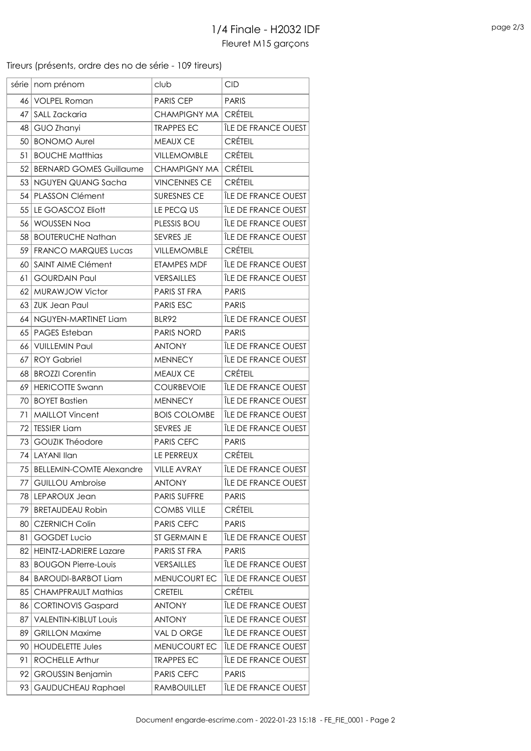Tireurs (présents, ordre des no de série - 109 tireurs)

| série           | nom prénom                      | club                | <b>CID</b>                 |
|-----------------|---------------------------------|---------------------|----------------------------|
| 46              | <b>VOLPEL Roman</b>             | <b>PARIS CEP</b>    | <b>PARIS</b>               |
| 47              | SALL Zackaria                   | <b>CHAMPIGNY MA</b> | <b>CRÉTEIL</b>             |
| 48              | GUO Zhanyi                      | <b>TRAPPES EC</b>   | ÎLE DE FRANCE OUEST        |
| 50              | <b>BONOMO Aurel</b>             | MEAUX CE            | <b>CRÉTEIL</b>             |
| 51              | <b>BOUCHE Matthias</b>          | <b>VILLEMOMBLE</b>  | <b>CRÉTEIL</b>             |
| 52              | <b>BERNARD GOMES Guillaume</b>  | <b>CHAMPIGNY MA</b> | <b>CRÉTEIL</b>             |
| 53              | NGUYEN QUANG Sacha              | <b>VINCENNES CE</b> | <b>CRÉTEIL</b>             |
| 54              | PLASSON Clément                 | SURESNES CE         | ÎLE DE FRANCE OUEST        |
| 55              | LE GOASCOZ Eliott               | LE PECQ US          | ÎLE DE FRANCE OUEST        |
| 56              | <b>WOUSSEN Noa</b>              | PLESSIS BOU         | ÎLE DE FRANCE OUEST        |
| 58              | <b>BOUTERUCHE Nathan</b>        | SEVRES JE           | ÎLE DE FRANCE OUEST        |
| 59              | <b>FRANCO MARQUES Lucas</b>     | VILLEMOMBLE         | <b>CRÉTEIL</b>             |
| 60              | SAINT AIME Clément              | <b>ETAMPES MDF</b>  | ÎLE DE FRANCE OUEST        |
| 61              | <b>GOURDAIN Paul</b>            | <b>VERSAILLES</b>   | ÎLE DE FRANCE OUEST        |
| 62              | MURAWJOW Victor                 | PARIS ST FRA        | <b>PARIS</b>               |
| 63              | <b>ZUK Jean Paul</b>            | <b>PARIS ESC</b>    | <b>PARIS</b>               |
|                 | 64 NGUYEN-MARTINET Liam         | <b>BLR92</b>        | ÎLE DE FRANCE OUEST        |
| 65              | <b>PAGES Esteban</b>            | <b>PARIS NORD</b>   | <b>PARIS</b>               |
| 66              | <b>VUILLEMIN Paul</b>           | <b>ANTONY</b>       | <b>ILE DE FRANCE OUEST</b> |
| 67              | <b>ROY Gabriel</b>              | <b>MENNECY</b>      | ÎLE DE FRANCE OUEST        |
| 68              | <b>BROZZI Corentin</b>          | MEAUX CE            | <b>CRÉTEIL</b>             |
| 69              | <b>HERICOTTE Swann</b>          | <b>COURBEVOIE</b>   | ÎLE DE FRANCE OUEST        |
| 70              | <b>BOYET Bastien</b>            | <b>MENNECY</b>      | ÎLE DE FRANCE OUEST        |
| 71              | <b>MAILLOT Vincent</b>          | <b>BOIS COLOMBE</b> | ÎLE DE FRANCE OUEST        |
| 72 <sub>1</sub> | <b>TESSIER Liam</b>             | <b>SEVRES JE</b>    | ÎLE DE FRANCE OUEST        |
| 73              | <b>GOUZIK Théodore</b>          | <b>PARIS CEFC</b>   | <b>PARIS</b>               |
| 74              | <b>LAYANI Ilan</b>              | LE PERREUX          | <b>CRÉTEIL</b>             |
| 75              | <b>BELLEMIN-COMTE Alexandre</b> | <b>VILLE AVRAY</b>  | ÎLE DE FRANCE OUEST        |
| 77              | <b>GUILLOU Ambroise</b>         | <b>ANTONY</b>       | ÎLE DE FRANCE OUEST        |
| 78              | LEPAROUX Jean                   | PARIS SUFFRE        | <b>PARIS</b>               |
| 79              | <b>BRETAUDEAU Robin</b>         | <b>COMBS VILLE</b>  | <b>CRÉTEIL</b>             |
| 80              | <b>CZERNICH Colin</b>           | <b>PARIS CEFC</b>   | <b>PARIS</b>               |
| 81              | <b>GOGDET Lucio</b>             | ST GERMAIN E        | <b>ILE DE FRANCE OUEST</b> |
| 82              | <b>HEINTZ-LADRIERE Lazare</b>   | PARIS ST FRA        | <b>PARIS</b>               |
| 83              | <b>BOUGON Pierre-Louis</b>      | <b>VERSAILLES</b>   | ÎLE DE FRANCE OUEST        |
| 84              | <b>BAROUDI-BARBOT Liam</b>      | MENUCOURT EC        | ÎLE DE FRANCE OUEST        |
| 85              | <b>CHAMPFRAULT Mathias</b>      | <b>CRETEIL</b>      | <b>CRÉTEIL</b>             |
| 86              | <b>CORTINOVIS Gaspard</b>       | <b>ANTONY</b>       | ÎLE DE FRANCE OUEST        |
| 87              | <b>VALENTIN-KIBLUT Louis</b>    | <b>ANTONY</b>       | ÎLE DE FRANCE OUEST        |
| 89              | <b>GRILLON Maxime</b>           | VAL D ORGE          | ÎLE DE FRANCE OUEST        |
| 90              | <b>HOUDELETTE Jules</b>         | MENUCOURT EC        | ÎLE DE FRANCE OUEST        |
| 91              | <b>ROCHELLE Arthur</b>          | <b>TRAPPES EC</b>   | ÎLE DE FRANCE OUEST        |
| 92              | <b>GROUSSIN Benjamin</b>        | PARIS CEFC          | <b>PARIS</b>               |
| 93              | <b>GAUDUCHEAU Raphael</b>       | <b>RAMBOUILLET</b>  | ÎLE DE FRANCE OUEST        |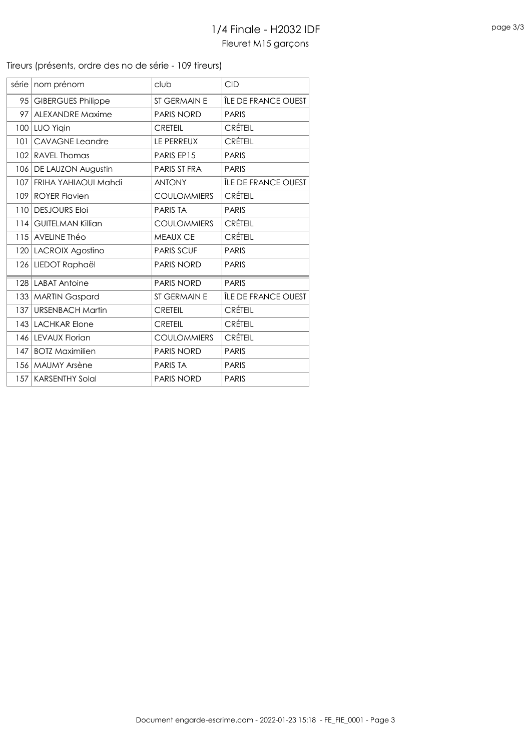#### Tireurs (présents, ordre des no de série - 109 tireurs)

| série | nom prénom                | club               | <b>CID</b>          |
|-------|---------------------------|--------------------|---------------------|
| 95    | <b>GIBERGUES Philippe</b> | ST GERMAIN E       | ÎLE DE FRANCE OUEST |
| 97    | <b>ALEXANDRE Maxime</b>   | <b>PARIS NORD</b>  | <b>PARIS</b>        |
|       | 100 LUO Yigin             | <b>CRETEIL</b>     | <b>CRÉTEIL</b>      |
| 101   | <b>CAVAGNE Leandre</b>    | LE PERREUX         | <b>CRÉTEIL</b>      |
| 102   | <b>RAVEL Thomas</b>       | PARIS EP15         | <b>PARIS</b>        |
|       | 106   DE LAUZON Augustin  | PARIS ST FRA       | <b>PARIS</b>        |
| 107   | FRIHA YAHIAOUI Mahdi      | <b>ANTONY</b>      | ÎLE DE FRANCE OUEST |
| 109   | <b>ROYER Flavien</b>      | <b>COULOMMIERS</b> | <b>CRÉTEIL</b>      |
| 110   | <b>DESJOURS Eloi</b>      | <b>PARISTA</b>     | <b>PARIS</b>        |
|       | 114 GUITELMAN Killian     | <b>COULOMMIERS</b> | <b>CRÉTEIL</b>      |
|       | 115 AVELINE Théo          | <b>MEAUX CE</b>    | <b>CRÉTEIL</b>      |
|       | 120 LACROIX Agostino      | <b>PARIS SCUF</b>  | <b>PARIS</b>        |
|       | 126 LIEDOT Raphaël        | <b>PARIS NORD</b>  | <b>PARIS</b>        |
|       | 128 LABAT Antoine         | <b>PARIS NORD</b>  | <b>PARIS</b>        |
| 133   | <b>MARTIN Gaspard</b>     | ST GERMAIN E       | ÎLE DE FRANCE OUEST |
| 137   | <b>URSENBACH Martin</b>   | <b>CRETEIL</b>     | <b>CRÉTEIL</b>      |
|       | 143 LACHKAR Elone         | <b>CRETEIL</b>     | <b>CRÉTEIL</b>      |
|       | 146 LEVAUX Florian        | <b>COULOMMIERS</b> | <b>CRÉTEIL</b>      |
| 147   | <b>BOTZ Maximilien</b>    | <b>PARIS NORD</b>  | <b>PARIS</b>        |
|       | 156   MAUMY Arsène        | <b>PARISTA</b>     | <b>PARIS</b>        |
| 157   | <b>KARSENTHY Solal</b>    | <b>PARIS NORD</b>  | <b>PARIS</b>        |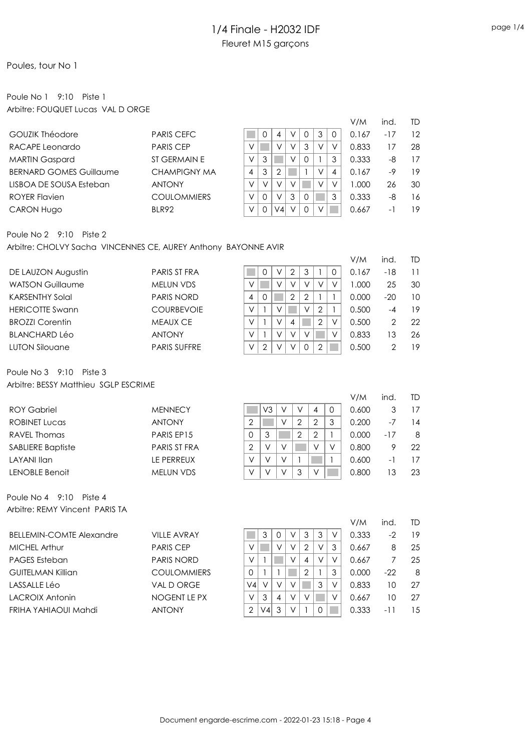### Poules, tour No 1

### Poule No 1 9:10 Piste 1 Arbitre: FOUQUET Lucas VAL D ORGE

|                                |                    |        |          |                |   |   |        | V/M   | ind. | TD |
|--------------------------------|--------------------|--------|----------|----------------|---|---|--------|-------|------|----|
| <b>GOUZIK Théodore</b>         | <b>PARIS CEFC</b>  |        |          | 4              |   |   | 3      | 0.167 | -17  | 12 |
| RACAPE Leonardo                | <b>PARIS CEP</b>   |        |          | $\sqrt{}$      |   | 3 |        | 0.833 |      | 28 |
| <b>MARTIN Gaspard</b>          | ST GERMAIN E       | V      | 3        |                |   |   |        | 0.333 | -8   | 17 |
| <b>BERNARD GOMES Guillaume</b> | CHAMPIGNY MA       | 4      | 3        |                |   |   | $\vee$ | 0.167 | -9   | 19 |
| LISBOA DE SOUSA Esteban        | <b>ANTONY</b>      | $\vee$ | $\vee$   | V              |   |   |        | 000.1 | 26   | 30 |
| ROYER Flavien                  | <b>COULOMMIERS</b> | V      | $\Omega$ | $\checkmark$   | 3 |   |        | 0.333 | -8   | 16 |
| <b>CARON Hugo</b>              | BLR92              |        |          | V <sub>4</sub> |   |   |        | 0.667 | - 1  | 19 |

#### Poule No 2 9:10 Piste 2

Arbitre: CHOLVY Sacha VINCENNES CE, AUREY Anthony BAYONNE AVIR

|                         |                     |   |   |   |                |                |                | V/M   | ind.  | TD |
|-------------------------|---------------------|---|---|---|----------------|----------------|----------------|-------|-------|----|
| DE LAUZON Augustin      | <b>PARIS ST FRA</b> |   | 0 | V | $\overline{2}$ | 3              |                | 0.167 | $-18$ | 11 |
| <b>WATSON Guillaume</b> | MELUN VDS           | ν |   | V | V              | V              | $\vee$         | 1.000 | 25    | 30 |
| <b>KARSENTHY Solal</b>  | <b>PARIS NORD</b>   | 4 | 0 |   | $\overline{2}$ | $\overline{2}$ |                | 0.000 | $-20$ | 10 |
| <b>HERICOTTE Swann</b>  | <b>COURBEVOIE</b>   | ν |   | V |                | V              | $\overline{2}$ | 0.500 | -4    | 19 |
| <b>BROZZI Corentin</b>  | <b>MEAUX CE</b>     | ν |   | V | 4              |                | $\overline{2}$ | 0.500 | 2     | 22 |
| <b>BLANCHARD Léo</b>    | <b>ANTONY</b>       | V |   | V | $\vee$         |                |                | 0.833 | 13    | 26 |
| <b>LUTON Silouane</b>   | <b>PARIS SUFFRE</b> | V | 2 | V | V              |                | 2              | 0.500 |       | 19 |
|                         |                     |   |   |   |                |                |                |       |       |    |

#### Poule No 3 9:10 Piste 3 Arbitre: BESSY Matthieu SGLP ESCRIME

|                          |                     |   |        |           |   |        |          | V/M   | ind.  | TD |
|--------------------------|---------------------|---|--------|-----------|---|--------|----------|-------|-------|----|
| <b>ROY Gabriel</b>       | <b>MENNECY</b>      |   | V3     |           |   | 4      | $\Omega$ | 0.600 |       | 17 |
| <b>ROBINET Lucas</b>     | <b>ANTONY</b>       | ◠ |        | V         | っ | 2      | 3        | 0.200 | $-7$  | 14 |
| RAVEL Thomas             | PARIS EP15          | 0 |        |           | 2 | 2      |          | 0.000 | $-17$ | 8  |
| <b>SABLIERE Baptiste</b> | <b>PARIS ST FRA</b> | 2 | $\vee$ |           |   | $\vee$ |          | 0.800 | 9     | 22 |
| LAYANI Ilan              | LE PERREUX          | V | V      | $\sqrt{}$ |   |        |          | 0.600 | -1    | 17 |
| LENOBLE Benoit           | <b>MELUN VDS</b>    | V | V      |           |   | $\vee$ |          | 0.800 | 13    | 23 |
|                          |                     |   |        |           |   |        |          |       |       |    |

Poule No 4 9:10 Piste 4 Arbitre: REMY Vincent PARIS TA

|                                 |                    |    |        |   |        |   |        |   | V/M   | ind | TD |
|---------------------------------|--------------------|----|--------|---|--------|---|--------|---|-------|-----|----|
| <b>BELLEMIN-COMTE Alexandre</b> | <b>VILLE AVRAY</b> |    | 3      |   | V      | 3 | 3      |   | 0.333 | -2  | 19 |
| MICHEL Arthur                   | <b>PARIS CEP</b>   |    |        | V | V      |   | V      | 3 | 0.667 | 8   | 25 |
| <b>PAGES Esteban</b>            | <b>PARIS NORD</b>  | V  |        |   | V      | 4 | $\vee$ |   | 0.667 |     | 25 |
| GUITELMAN Killian               | <b>COULOMMIERS</b> |    |        |   |        |   |        |   | 0.000 | -22 | 8  |
| LASSALLE Léo                    | VAL D ORGE         | V4 | $\vee$ | V |        |   | 3      |   | 0.833 | 10  | 27 |
| LACROIX Antonin                 | NOGENT LE PX       | V  | 3      | 4 | $\vee$ |   |        |   | 0.667 | 10  | 27 |
| FRIHA YAHIAOUI Mahdi            | <b>ANTONY</b>      |    | V4     | 3 |        |   |        |   | 0.333 | -11 | 15 |
|                                 |                    |    |        |   |        |   |        |   |       |     |    |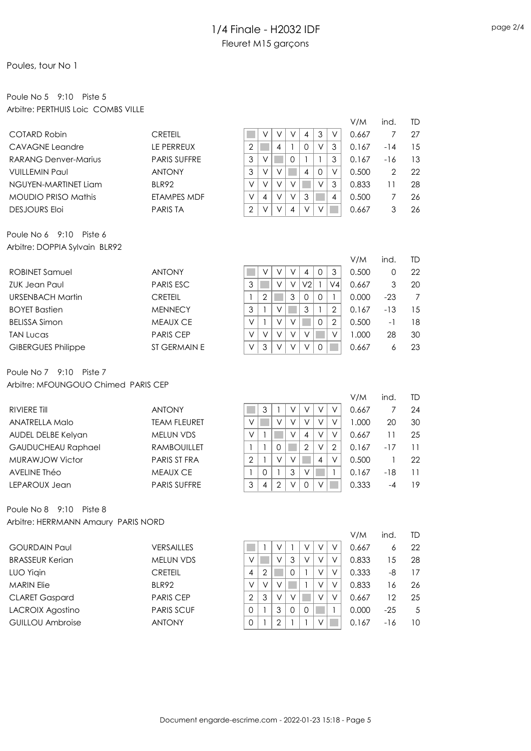### Poules, tour No 1

### Poule No 5 9:10 Piste 5 Arbitre: PERTHUIS Loic COMBS VILLE

|                            |                     |                |        |   |   |        |          |        | V/M   | ind.           | TD |
|----------------------------|---------------------|----------------|--------|---|---|--------|----------|--------|-------|----------------|----|
| COTARD Robin               | CRETEIL             |                |        |   |   | 4      | 3        | v      | 0.667 |                | 27 |
| CAVAGNE Leandre            | L <b>E PERREUX</b>  | 2              |        | 4 |   | 0      | V        | 3      | 0.167 | $-14$          | 15 |
| RARANG Denver-Marius       | <b>PARIS SUFFRE</b> | 3              |        |   | 0 |        |          | 3      | 0.167 | $-16$          | 13 |
| <b>VUILLEMIN Paul</b>      | <b>ANTONY</b>       | 3              | $\vee$ |   |   | 4      | $\Omega$ | $\vee$ | 0.500 | $\overline{2}$ | 22 |
| NGUYEN-MARTINET Liam       | BLR92               | V              |        |   |   |        | $\vee$   | 3      | 0.833 | ا ا            | 28 |
| <b>MOUDIO PRISO Mathis</b> | ETAMPES MDF         | V              | 4      |   |   | 3      |          | 4      | 0.500 |                | 26 |
| <b>DESJOURS Eloi</b>       | <b>PARIS TA</b>     | $\overline{2}$ |        |   | 4 | $\vee$ |          |        | 0.667 | 3              | 26 |
|                            |                     |                |        |   |   |        |          |        |       |                |    |

Poule No 6 9:10 Piste 6 Arbitre: DOPPIA Sylvain BLR92

|                           |                  |        |        |        |        |                |          |                | V/M    | ind   | TD. |
|---------------------------|------------------|--------|--------|--------|--------|----------------|----------|----------------|--------|-------|-----|
| <b>ROBINET Samuel</b>     | <b>ANTONY</b>    |        |        |        |        | 4              | 0        | 3              | 0.500  |       | 22  |
| <b>ZUK Jean Paul</b>      | <b>PARIS ESC</b> | 3      |        | V      |        | V <sub>2</sub> |          | V4             | 0.667  | 3     | 20  |
| URSENBACH Martin          | <b>CRETEIL</b>   |        | 2      |        | 3      | $\Omega$       | $\Omega$ |                | 0.000  | $-23$ | 7   |
| <b>BOYET Bastien</b>      | <b>MENNECY</b>   | 3      |        |        |        | 3              |          |                | 0.167  | $-13$ | 15  |
| <b>BELISSA Simon</b>      | <b>MEAUX CE</b>  | $\vee$ |        | $\vee$ |        |                | 0        | $\overline{2}$ | 0.500  | $-1$  | 18  |
| <b>TAN Lucas</b>          | <b>PARIS CEP</b> | V      | $\vee$ | $\vee$ | $\vee$ | V              |          |                | 000. I | 28    | 30  |
| <b>GIBERGUES Philippe</b> | ST GERMAIN E     | V      | 3      | $\vee$ | $\vee$ | $\vee$         | 0        |                | 0.667  | 6     | 23  |
|                           |                  |        |        |        |        |                |          |                |        |       |     |

Poule No 7 9:10 Piste 7 Arbitre: MFOUNGOUO Chimed PARIS CEP

|                           |                     |                |   |        |        |                |        |        | V/M   | ind.  | TD. |
|---------------------------|---------------------|----------------|---|--------|--------|----------------|--------|--------|-------|-------|-----|
| RIVIERE TIII              | <b>ANTONY</b>       |                | 3 |        |        | V              | V      |        | 0.667 |       | 24  |
| ANATRELLA Malo            | <b>TEAM FLEURET</b> | V              |   | V      | V      | v              | $\vee$ | V      | 1.000 | 20    | 30  |
| AUDEL DELBE Kelyan        | <b>MELUN VDS</b>    | V              |   |        | V      | $\overline{4}$ | V      | V      | 0.667 | 1     | 25  |
| <b>GAUDUCHEAU Raphael</b> | <b>RAMBOUILLET</b>  |                |   | 0      |        | 2              | V      | 2      | 0.167 | $-17$ | 11  |
| MURAWJOW Victor           | <b>PARIS ST FRA</b> | $\overline{2}$ |   | $\vee$ | $\vee$ |                | 4      | $\vee$ | 0.500 |       | 22  |
| AVELINE Théo              | <b>MEAUX CE</b>     |                | O |        | 3      | $\vee$         |        |        | 0.167 | -18   | 11  |
| LEPAROUX Jean             | <b>PARIS SUFFRE</b> | 3              | 4 | っ      |        | $\Omega$       |        |        | 0.333 | -4    | 19  |
|                           |                     |                |   |        |        |                |        |        |       |       |     |

Poule No 8 9:10 Piste 8 Arbitre: HERRMANN Amaury PARIS NORD

|                         |                   |                |        |   |          |        |        |   | V/M   | ind.  | TD.             |
|-------------------------|-------------------|----------------|--------|---|----------|--------|--------|---|-------|-------|-----------------|
| <b>GOURDAIN Paul</b>    | <b>VERSAILLES</b> |                |        |   |          |        |        |   | 0.667 | 6     | 22              |
| <b>BRASSEUR Kerian</b>  | <b>MELUN VDS</b>  |                |        |   | 3        | $\vee$ | V      | V | 0.833 | 15    | 28              |
| LUO Yigin               | <b>CRETEIL</b>    | 4              | 2      |   |          |        | V      |   | 0.333 | -8    | 17              |
| <b>MARIN Elie</b>       | BLR92             | V              | $\vee$ |   |          |        | $\vee$ | V | 0.833 | 16    | 26              |
| <b>CLARET Gaspard</b>   | <b>PARIS CEP</b>  | $\overline{2}$ | 3      |   |          |        | V      |   | 0.667 | 12    | 25              |
| LACROIX Agostino        | <b>PARIS SCUF</b> |                |        | 3 | $\Omega$ |        |        |   | 0.000 | $-25$ | 5               |
| <b>GUILLOU Ambroise</b> | <b>ANTONY</b>     |                |        |   |          |        |        |   | 0.167 | $-16$ | 10 <sup>°</sup> |
|                         |                   |                |        |   |          |        |        |   |       |       |                 |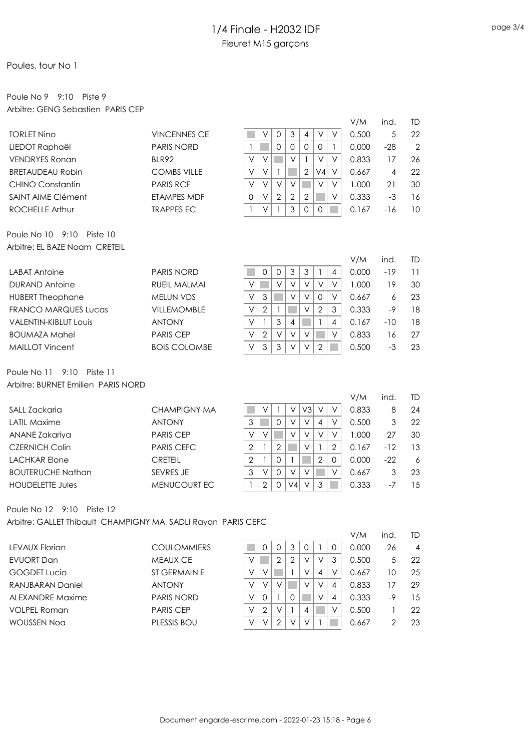### Poules, tour No 1

## Poule No 9 9:10 Piste 9 Arbitre: GENG Sebastien PARIS CEP

|                                                               |                     |                                |                                |                                    |                     | V/M   | ind.  | TD             |
|---------------------------------------------------------------|---------------------|--------------------------------|--------------------------------|------------------------------------|---------------------|-------|-------|----------------|
| <b>TORLET Nino</b>                                            | <b>VINCENNES CE</b> | ٧                              | $\mathsf{O}\xspace$<br>3       | 4                                  | $\vee$<br>$\vee$    | 0.500 | 5     | 22             |
| LIEDOT Raphaël                                                | <b>PARIS NORD</b>   | -1                             | 0<br>$\mathbf 0$               | 0<br>0                             | $\mathbf{1}$        | 0.000 | $-28$ | $\overline{2}$ |
| <b>VENDRYES Ronan</b>                                         | BLR92               | V<br>$\vee$                    | V                              | $\mathbf{1}$                       | V<br>V              | 0.833 | 17    | 26             |
| <b>BRETAUDEAU Robin</b>                                       | <b>COMBS VILLE</b>  | V<br>V                         | $\mathbf{1}$                   | $\overline{2}$                     | V <sub>4</sub><br>٧ | 0.667 | 4     | 22             |
| <b>CHINO Constantin</b>                                       | <b>PARIS RCF</b>    | $\vee$<br>$\vee$               | $\vee$<br>$\vee$               |                                    | V<br>$\vee$         | 1.000 | 21    | 30             |
| SAINT AIME Clément                                            | ETAMPES MDF         | $\vee$<br>0                    | $\overline{2}$<br>$\mathbf{2}$ | $\overline{2}$                     | $\vee$              | 0.333 | $-3$  | 16             |
| <b>ROCHELLE Arthur</b>                                        | <b>TRAPPES EC</b>   | $\vee$<br>$\mathbf{1}$         | 3<br>$\mathbf{1}$              | $\mathbf 0$<br>$\mathsf{O}\xspace$ |                     | 0.167 | $-16$ | 10             |
| Poule No 10 9:10 Piste 10                                     |                     |                                |                                |                                    |                     |       |       |                |
| Arbitre: EL BAZE Noam CRETEIL                                 |                     |                                |                                |                                    |                     |       |       |                |
|                                                               |                     |                                |                                |                                    |                     | V/M   | ind.  | TD             |
| <b>LABAT Antoine</b>                                          | <b>PARIS NORD</b>   | 0                              | 3<br>0                         | $\mathfrak 3$<br>$\mathbf{1}$      | 4                   | 0.000 | $-19$ | 11             |
| <b>DURAND Antoine</b>                                         | <b>RUEIL MALMAI</b> | $\vee$                         | $\vee$<br>$\vee$               | $\vee$                             | $\vee$<br>$\vee$    | 1.000 | 19    | 30             |
| <b>HUBERT Theophane</b>                                       | <b>MELUN VDS</b>    | $\vee$<br>$\mathfrak 3$        | $\vee$                         | $\vee$<br>$\mathsf{O}\xspace$      | $\vee$              | 0.667 | 6     | 23             |
| <b>FRANCO MARQUES Lucas</b>                                   | <b>VILLEMOMBLE</b>  | $\vee$<br>$\overline{2}$       | $\mathbf{1}$                   | $\overline{2}$<br>$\vee$           | 3                   | 0.333 | $-9$  | 18             |
| <b>VALENTIN-KIBLUT Louis</b>                                  | <b>ANTONY</b>       | $\vee$<br>$\mathbf{1}$         | $\mathfrak 3$<br>4             | $\mathbf{1}$                       | 4                   | 0.167 | $-10$ | 18             |
| <b>BOUMAZA Mahel</b>                                          | <b>PARIS CEP</b>    | $\vee$<br>$\overline{2}$       | $\vee$<br>$\vee$               | $\vee$                             | V                   | 0.833 | 16    | 27             |
| <b>MAILLOT Vincent</b>                                        | <b>BOIS COLOMBE</b> | 3<br>V                         | 3<br>V                         | $\overline{2}$<br>V                |                     | 0.500 | $-3$  | 23             |
| Poule No 11<br>9:10<br>Piste 11                               |                     |                                |                                |                                    |                     |       |       |                |
| Arbitre: BURNET Emilien PARIS NORD                            |                     |                                |                                |                                    |                     | V/M   | ind.  | <b>TD</b>      |
| SALL Zackaria                                                 | <b>CHAMPIGNY MA</b> | V                              | $\mathbf{1}$<br>V              | V3                                 | $\vee$<br>V         | 0.833 | 8     | 24             |
| <b>LATIL Maxime</b>                                           | <b>ANTONY</b>       | 3                              | $\vee$<br>0                    | $\vee$<br>$\pmb{4}$                | V                   | 0.500 | 3     | 22             |
| ANANE Zakariya                                                | <b>PARIS CEP</b>    | $\vee$<br>$\vee$               | $\vee$                         | $\vee$<br>$\vee$                   | $\vee$              | 1.000 | 27    | 30             |
| <b>CZERNICH Colin</b>                                         | <b>PARIS CEFC</b>   | $\overline{2}$<br>1            | $\overline{2}$                 | $\vee$<br>$\mathbf{1}$             | 2                   | 0.167 | $-12$ | 13             |
| <b>LACHKAR Elone</b>                                          | <b>CRETEIL</b>      | $\overline{2}$<br>$\mathbf{1}$ | $\mathbf 0$<br>$\mathbf{1}$    | $\overline{2}$                     | 0                   | 0.000 | $-22$ | 6              |
| <b>BOUTERUCHE Nathan</b>                                      | SEVRES JE           | 3<br>$\vee$                    | $\vee$<br>0                    | V                                  | ٧                   | 0.667 | 3     | 23             |
| <b>HOUDELETTE Jules</b>                                       | MENUCOURT EC        | $\overline{2}$<br>$\mathbf{1}$ | $\mathbf 0$<br>V <sub>4</sub>  | 3<br>$\vee$                        |                     | 0.333 | $-7$  | 15             |
| Poule No 12 9:10 Piste 12                                     |                     |                                |                                |                                    |                     |       |       |                |
| Arbitre: GALLET Thibault CHAMPIGNY MA, SADLI Rayan PARIS CEFC |                     |                                |                                |                                    |                     |       |       |                |
|                                                               |                     |                                |                                |                                    |                     | V/M   | ind.  | TD             |
| <b>LEVAUX Florian</b>                                         | <b>COULOMMIERS</b>  | 0                              | $\mathbf{0}$<br>3              | $\mathbf{0}$<br>1                  | 0                   | 0.000 | $-26$ | $\overline{4}$ |

| I FVAIIX Florian    |
|---------------------|
| FVUORT Dan          |
| <b>GOGDET Lucio</b> |
| RAN IBARAN Daniel   |
| ALFXANDRF Maxime    |
| VOLPFL Roman        |
| WOUSSEN Noa         |
|                     |

|                         |                    |        |   |   |   |   |   |   | V/M   | ind. | TD             |
|-------------------------|--------------------|--------|---|---|---|---|---|---|-------|------|----------------|
| LEVAUX Florian          | <b>COULOMMIERS</b> |        | 0 |   | 3 |   |   |   | 0.000 | -26  | $\overline{4}$ |
| EVUORT Dan              | <b>MEAUX CE</b>    |        |   | ာ | っ | V |   | 3 | 0.500 | 5    | 22             |
| <b>GOGDET Lucio</b>     | ST GERMAIN E       | $\vee$ | ν |   |   | v | 4 |   | 0.667 | 10   | 25             |
| <b>RANJBARAN Daniel</b> | <b>ANTONY</b>      | $\vee$ | V |   |   |   |   | 4 | 0.833 |      | 29             |
| ALEXANDRE Maxime        | <b>PARIS NORD</b>  | $\vee$ | 0 |   |   |   |   | 4 | 0.333 | -9   | 15             |
| VOLPEL Roman            | <b>PARIS CEP</b>   | $\vee$ | 2 |   |   | 4 |   |   | 0.500 |      | 22             |
| WOUSSEN Noa             | PLESSIS BOU        |        |   |   |   |   |   |   | 0.667 |      | 23             |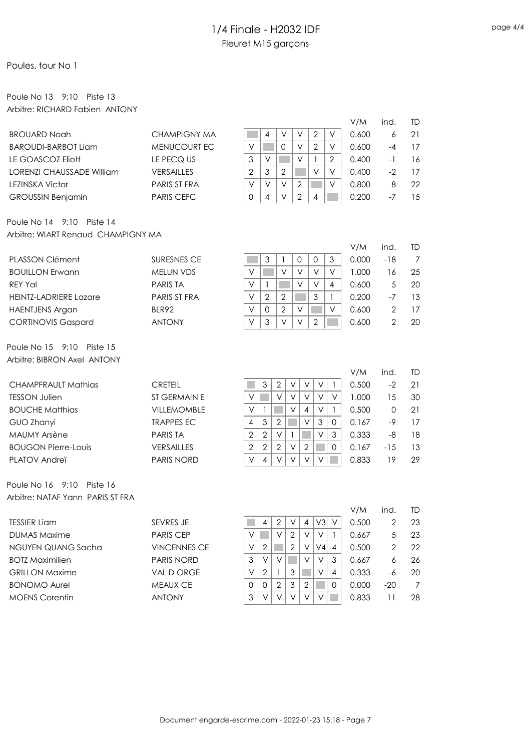### Poules, tour No 1

## Poule No 13 9:10 Piste 13 Arbitre: RICHARD Fabien ANTONY

|                                              |                     |                                                                                             | V/M            | ind.           | TD |
|----------------------------------------------|---------------------|---------------------------------------------------------------------------------------------|----------------|----------------|----|
| <b>BROUARD Noah</b>                          | <b>CHAMPIGNY MA</b> | $\mathbf{2}$<br>V<br>$\vee$<br>V<br>4                                                       | 0.600          | 6              | 21 |
| <b>BAROUDI-BARBOT Liam</b>                   | MENUCOURT EC        | $\vee$<br>$\vee$<br>$\mathbf 0$<br>$\mathbf{2}$<br>$\vee$                                   | 0.600          | $-4$           | 17 |
| LE GOASCOZ Eliott                            | LE PECQ US          | 3<br>V<br>$\vee$<br>$\overline{2}$<br>$\mathbf{1}$                                          | 0.400          | $-1$           | 16 |
| <b>LORENZI CHAUSSADE William</b>             | VERSAILLES          | $\overline{2}$<br>3<br>$\mathbf{2}$<br>V<br>$\vee$                                          | 0.400          | $-2$           | 17 |
| <b>LEZINSKA Victor</b>                       | PARIS ST FRA        | $\vee$<br>$\vee$<br>$\overline{2}$<br>$\vee$<br>$\vee$                                      | 0.800          | $\,8\,$        | 22 |
| <b>GROUSSIN Benjamin</b>                     | <b>PARIS CEFC</b>   | $\overline{2}$<br>4<br>V<br>$\Omega$<br>$\overline{4}$                                      | 0.200          | $-7$           | 15 |
| Poule No 14 9:10<br>Piste 14                 |                     |                                                                                             |                |                |    |
| Arbitre: WIART Renaud CHAMPIGNY MA           |                     |                                                                                             |                |                |    |
|                                              |                     |                                                                                             | V/M            | ind.           | TD |
| PLASSON Clément                              | <b>SURESNES CE</b>  | $\mathfrak{S}$<br>$\mathbf 0$<br>$\mathfrak 3$<br>1<br>$\mathbf 0$                          | 0.000          | $-18$          | 7  |
| <b>BOUILLON Erwann</b>                       | <b>MELUN VDS</b>    | $\vee$<br>$\vee$<br>$\vee$<br>$\vee$<br>V                                                   | 1.000          | 16             | 25 |
| <b>REY Yal</b>                               | <b>PARIS TA</b>     | $\vee$<br>$\vee$<br>$\mathbf{1}$<br>$\vee$<br>4                                             | 0.600          | 5              | 20 |
| <b>HEINTZ-LADRIERE Lazare</b>                | PARIS ST FRA        | $\overline{2}$<br>3<br>$\vee$<br>$\overline{2}$<br>$\mathbf{1}$                             | 0.200          | $-7$           | 13 |
| <b>HAENTJENS Argan</b>                       | BLR92               | $\overline{2}$<br>$\vee$<br>0<br>$\vee$<br>$\vee$                                           | 0.600          | $\mathbf{2}$   | 17 |
| <b>CORTINOVIS Gaspard</b>                    | <b>ANTONY</b>       | $\vee$<br>3<br>$\vee$<br>$\overline{2}$<br>V                                                | 0.600          | $\overline{2}$ | 20 |
| Poule No 15 9:10<br>Piste 15                 |                     |                                                                                             |                |                |    |
| Arbitre: BIBRON Axel ANTONY                  |                     |                                                                                             |                |                |    |
|                                              |                     |                                                                                             | V/M            | ind.           | TD |
| <b>CHAMPFRAULT Mathias</b>                   | <b>CRETEIL</b>      | $\ensuremath{\mathsf{3}}$<br>$\sqrt{2}$<br>1<br>٧<br>V<br>V                                 | 0.500          | $-2$           | 21 |
| <b>TESSON Julien</b>                         | ST GERMAIN E        | $\vee$<br>$\vee$<br>$\vee$<br>$\vee$<br>$\vee$<br>V                                         | 1.000          | 15             | 30 |
| <b>BOUCHE Matthias</b>                       | VILLEMOMBLE         | $\vee$<br>$\vee$<br>$\overline{\mathcal{A}}$<br>$\vee$<br>$\mathbf{1}$<br>$\mathbf{1}$      | 0.500          | $\mathbf 0$    | 21 |
| GUO Zhanyi                                   | <b>TRAPPES EC</b>   | $\overline{2}$<br>$\mathfrak 3$<br>3<br>$\overline{4}$<br>V<br>0                            | 0.167          | $-9$           | 17 |
| <b>MAUMY Arsène</b>                          | <b>PARIS TA</b>     | $\sqrt{2}$<br>$\overline{2}$<br>$\vee$<br>$\vee$<br>$\mathbf{1}$<br>$\mathfrak{Z}$          | 0.333          | -8             | 18 |
| <b>BOUGON Pierre-Louis</b>                   | VERSAILLES          | $\overline{2}$<br>$\overline{2}$<br>$\overline{2}$<br>$\vee$<br>$\mathbf{2}$<br>$\mathbf 0$ | 0.167          | $-15$          | 13 |
| PLATOV Andreï                                | PARIS NORD          | V<br>V<br>$\overline{4}$<br>V<br>V<br>V                                                     | 0.833          | 19             | 29 |
| Poule No 16 9:10<br>Piste 16                 |                     |                                                                                             |                |                |    |
| Arbitre: NATAF Yann PARIS ST FRA             |                     |                                                                                             |                |                |    |
|                                              |                     |                                                                                             | V/M            | ind.           | TD |
| <b>TESSIER Liam</b>                          | SEVRES JE           | V3<br>$\mathbf{2}$<br>4<br>٧<br>4<br>V                                                      | 0.500          | 2              | 23 |
| <b>DUMAS Maxime</b>                          | PARIS CEP           | V<br>V<br>$\overline{2}$<br>V<br>V<br>1                                                     | 0.667          | 5              | 23 |
| NGUYEN QUANG Sacha                           | <b>VINCENNES CE</b> | $\overline{2}$<br>$\vee$<br>$\overline{2}$<br>$\vee 4$<br>V<br>4                            | 0.500          | $\mathbf{2}$   | 22 |
| <b>BOTZ Maximilien</b>                       |                     |                                                                                             |                |                | 26 |
|                                              | PARIS NORD          | 3<br>V<br>V<br>V<br>V<br>3                                                                  | 0.667          | 6              |    |
| <b>GRILLON Maxime</b>                        | VAL D ORGE          | V<br>2<br>3<br>V<br>4                                                                       | 0.333          | -6             | 20 |
| <b>BONOMO Aurel</b><br><b>MOENS Corentin</b> | MEAUX CE            | $\mathfrak 3$<br>$\mathbf{2}$<br>$\mathbf{0}$<br>2<br>0<br>0<br>3                           | 0.000<br>0.833 | $-20$          | 7  |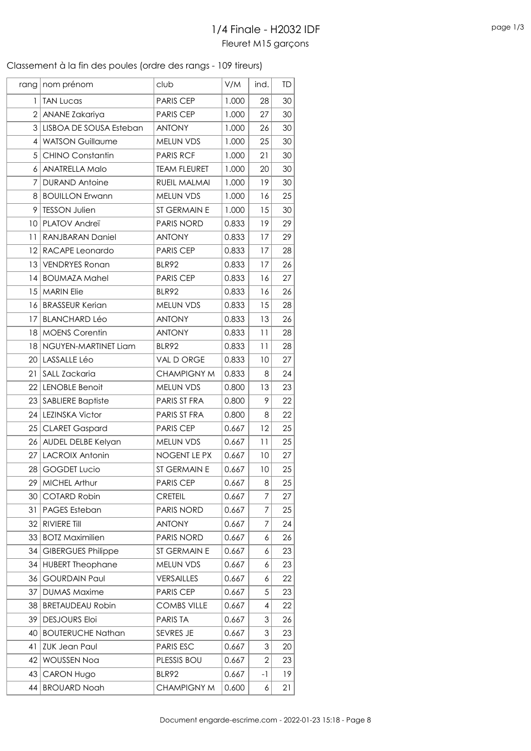### Classement à la fin des poules (ordre des rangs - 109 tireurs)

| rang           | nom prénom                | club                | V/M   | ind.           | TD |
|----------------|---------------------------|---------------------|-------|----------------|----|
| 1              | <b>TAN Lucas</b>          | <b>PARIS CEP</b>    | 1.000 | 28             | 30 |
| $\overline{2}$ | ANANE Zakariya            | <b>PARIS CEP</b>    | 1.000 | 27             | 30 |
| 3              | LISBOA DE SOUSA Esteban   | <b>ANTONY</b>       | 1.000 | 26             | 30 |
| 4              | <b>WATSON Guillaume</b>   | MELUN VDS           | 1.000 | 25             | 30 |
| 5              | <b>CHINO Constantin</b>   | <b>PARIS RCF</b>    | 1.000 | 21             | 30 |
| 6              | <b>ANATRELLA Malo</b>     | <b>TEAM FLEURET</b> | 1.000 | 20             | 30 |
| 7              | <b>DURAND Antoine</b>     | RUEIL MALMAI        | 1.000 | 19             | 30 |
| 8              | <b>BOUILLON Erwann</b>    | MELUN VDS           | 1.000 | 16             | 25 |
| 9              | <b>TESSON Julien</b>      | ST GERMAIN E        | 1.000 | 15             | 30 |
| 10             | PLATOV Andreï             | PARIS NORD          | 0.833 | 19             | 29 |
| 11             | RANJBARAN Daniel          | <b>ANTONY</b>       | 0.833 | 17             | 29 |
| 12             | RACAPE Leonardo           | <b>PARIS CEP</b>    | 0.833 | 17             | 28 |
| 13             | <b>VENDRYES Ronan</b>     | BLR92               | 0.833 | 17             | 26 |
| 4              | <b>BOUMAZA Mahel</b>      | <b>PARIS CEP</b>    | 0.833 | 16             | 27 |
| 15             | <b>MARIN Elie</b>         | BLR92               | 0.833 | 16             | 26 |
| 16             | <b>BRASSEUR Kerian</b>    | MELUN VDS           | 0.833 | 15             | 28 |
| 17             | <b>BLANCHARD Léo</b>      | <b>ANTONY</b>       | 0.833 | 13             | 26 |
| 18             | <b>MOENS Corentin</b>     | <b>ANTONY</b>       | 0.833 | 11             | 28 |
| 18             | NGUYEN-MARTINET Liam      | BLR92               | 0.833 | 11             | 28 |
| 20             | LASSALLE Léo              | VAL D ORGE          | 0.833 | 10             | 27 |
| 21             | SALL Zackaria             | <b>CHAMPIGNY M</b>  | 0.833 | 8              | 24 |
|                | 22 LENOBLE Benoit         | MELUN VDS           | 0.800 | 13             | 23 |
| 23             | <b>SABLIERE Baptiste</b>  | PARIS ST FRA        | 0.800 | 9              | 22 |
| 24             | <b>LEZINSKA Victor</b>    | PARIS ST FRA        | 0.800 | 8              | 22 |
| 25             | <b>CLARET Gaspard</b>     | <b>PARIS CEP</b>    | 0.667 | 12             | 25 |
| 26             | AUDEL DELBE Kelyan        | <b>MELUN VDS</b>    | 0.667 | 11             | 25 |
| 27             | <b>LACROIX Antonin</b>    | NOGENT LE PX        | 0.667 | 10             | 27 |
| 28             | <b>GOGDET Lucio</b>       | ST GERMAIN E        | 0.667 | 10             | 25 |
| 29             | <b>MICHEL Arthur</b>      | <b>PARIS CEP</b>    | 0.667 | 8              | 25 |
| 30             | <b>COTARD Robin</b>       | <b>CRETEIL</b>      | 0.667 | 7              | 27 |
| 31             | <b>PAGES Esteban</b>      | <b>PARIS NORD</b>   | 0.667 | 7              | 25 |
| 32             | RIVIERE Till              | <b>ANTONY</b>       | 0.667 | 7              | 24 |
| 33             | <b>BOTZ Maximilien</b>    | <b>PARIS NORD</b>   | 0.667 | 6              | 26 |
| 34             | <b>GIBERGUES Philippe</b> | ST GERMAIN E        | 0.667 | 6              | 23 |
| 34             | <b>HUBERT Theophane</b>   | <b>MELUN VDS</b>    | 0.667 | 6              | 23 |
| 36             | <b>GOURDAIN Paul</b>      | <b>VERSAILLES</b>   | 0.667 | 6              | 22 |
| 37             | <b>DUMAS Maxime</b>       | <b>PARIS CEP</b>    | 0.667 | 5              | 23 |
| 38             | <b>BRETAUDEAU Robin</b>   | <b>COMBS VILLE</b>  | 0.667 | 4              | 22 |
| 39             | <b>DESJOURS Eloi</b>      | <b>PARISTA</b>      | 0.667 | 3              | 26 |
| 40             | <b>BOUTERUCHE Nathan</b>  | SEVRES JE           | 0.667 | 3              | 23 |
| 41             | <b>ZUK Jean Paul</b>      | PARIS ESC           | 0.667 | 3              | 20 |
| 42             | <b>WOUSSEN Noa</b>        | PLESSIS BOU         | 0.667 | $\overline{2}$ | 23 |
| 43             | <b>CARON Hugo</b>         | BLR92               | 0.667 | -1             | 19 |
| 44             | <b>BROUARD Noah</b>       | <b>CHAMPIGNY M</b>  | 0.600 | 6              | 21 |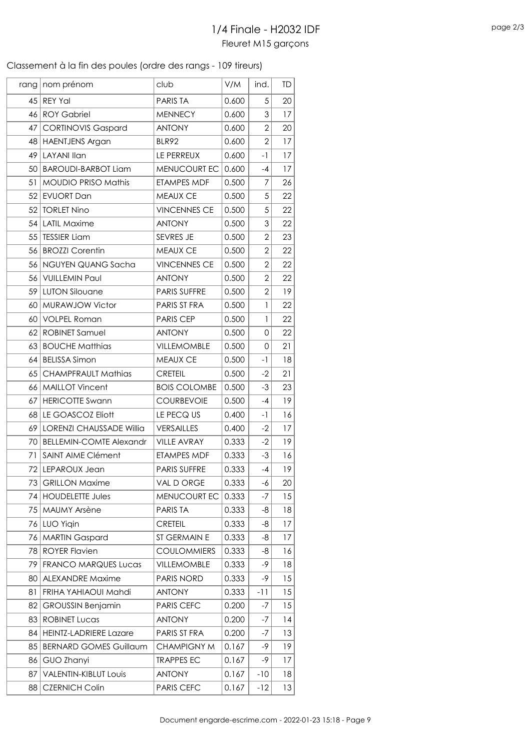### Classement à la fin des poules (ordre des rangs - 109 tireurs)

|      | rang   nom prénom               | club                | V/M   | ind.           | TD |
|------|---------------------------------|---------------------|-------|----------------|----|
| 45   | <b>REY Yal</b>                  | <b>PARISTA</b>      | 0.600 | 5              | 20 |
| 46   | <b>ROY Gabriel</b>              | <b>MENNECY</b>      | 0.600 | 3              | 17 |
| 47   | <b>CORTINOVIS Gaspard</b>       | <b>ANTONY</b>       | 0.600 | $\overline{2}$ | 20 |
| 48   | <b>HAENTJENS Argan</b>          | BLR92               | 0.600 | $\overline{2}$ | 17 |
| 49   | <b>LAYANI Ilan</b>              | LE PERREUX          | 0.600 | $-1$           | 17 |
| 50   | <b>BAROUDI-BARBOT Liam</b>      | MENUCOURT EC        | 0.600 | -4             | 17 |
| 51   | <b>MOUDIO PRISO Mathis</b>      | ETAMPES MDF         | 0.500 | 7              | 26 |
| 52   | <b>EVUORT Dan</b>               | <b>MEAUX CE</b>     | 0.500 | 5              | 22 |
| 52   | <b>TORLET Nino</b>              | <b>VINCENNES CE</b> | 0.500 | 5              | 22 |
| 54   | <b>LATIL Maxime</b>             | <b>ANTONY</b>       | 0.500 | 3              | 22 |
| 55   | <b>TESSIER Liam</b>             | SEVRES JE           | 0.500 | $\overline{2}$ | 23 |
| 56   | <b>BROZZI Corentin</b>          | <b>MEAUX CE</b>     | 0.500 | $\overline{2}$ | 22 |
| 56   | NGUYEN QUANG Sacha              | <b>VINCENNES CE</b> | 0.500 | $\overline{2}$ | 22 |
| 56   | <b>VUILLEMIN Paul</b>           | <b>ANTONY</b>       | 0.500 | $\overline{2}$ | 22 |
| 59   | <b>LUTON Silouane</b>           | <b>PARIS SUFFRE</b> | 0.500 | $\overline{2}$ | 19 |
| 60   | MURAWJOW Victor                 | PARIS ST FRA        | 0.500 | $\mathbf{1}$   | 22 |
| 60   | <b>VOLPEL Roman</b>             | <b>PARIS CEP</b>    | 0.500 | 1              | 22 |
| 62   | <b>ROBINET Samuel</b>           | <b>ANTONY</b>       | 0.500 | 0              | 22 |
| 63   | <b>BOUCHE Matthias</b>          | VILLEMOMBLE         | 0.500 | $\Omega$       | 21 |
| 64   | <b>BELISSA Simon</b>            | <b>MEAUX CE</b>     | 0.500 | -1             | 18 |
| 65   | <b>CHAMPFRAULT Mathias</b>      | <b>CRETEIL</b>      | 0.500 | $-2$           | 21 |
| 66   | <b>MAILLOT Vincent</b>          | <b>BOIS COLOMBE</b> | 0.500 | $-3$           | 23 |
| 67   | <b>HERICOTTE Swann</b>          | <b>COURBEVOIE</b>   | 0.500 | -4             | 19 |
| 68   | LE GOASCOZ Eliott               | LE PECQ US          | 0.400 | -1             | 16 |
| 69   | <b>LORENZI CHAUSSADE Willia</b> | <b>VERSAILLES</b>   | 0.400 | $-2$           | 17 |
| 70   | <b>BELLEMIN-COMTE Alexandr</b>  | <b>VILLE AVRAY</b>  | 0.333 | $-2$           | 19 |
| 71   | <b>SAINT AIME Clément</b>       | <b>ETAMPES MDF</b>  | 0.333 | $-3$           | 16 |
| 72   | LEPAROUX Jean                   | <b>PARIS SUFFRE</b> | 0.333 | $-4$           | 19 |
| 73   | <b>GRILLON Maxime</b>           | VAL D ORGE          | 0.333 | -6             | 20 |
| 74   | <b>HOUDELETTE Jules</b>         | MENUCOURT EC        | 0.333 | $-7$           | 15 |
| 75 I | <b>MAUMY Arsène</b>             | PARIS TA            | 0.333 | -8             | 18 |
| 76   | <b>LUO Yigin</b>                | <b>CRETEIL</b>      | 0.333 | -8             | 17 |
| 76   | <b>MARTIN Gaspard</b>           | ST GERMAIN E        | 0.333 | -8             | 17 |
| 78   | <b>ROYER Flavien</b>            | <b>COULOMMIERS</b>  | 0.333 | -8             | 16 |
| 79   | <b>FRANCO MARQUES Lucas</b>     | VILLEMOMBLE         | 0.333 | $-9$           | 18 |
| 80   | <b>ALEXANDRE Maxime</b>         | <b>PARIS NORD</b>   | 0.333 | -9             | 15 |
| 81   | FRIHA YAHIAOUI Mahdi            | <b>ANTONY</b>       | 0.333 | $-11$          | 15 |
| 82   | <b>GROUSSIN Benjamin</b>        | <b>PARIS CEFC</b>   | 0.200 | -7             | 15 |
| 83   | <b>ROBINET Lucas</b>            | <b>ANTONY</b>       | 0.200 | $-7$           | 14 |
| 84   | <b>HEINTZ-LADRIERE Lazare</b>   | PARIS ST FRA        | 0.200 | -7             | 13 |
| 85   | <b>BERNARD GOMES Guillaum</b>   | <b>CHAMPIGNY M</b>  | 0.167 | -9             | 19 |
| 86   | GUO Zhanyi                      | <b>TRAPPES EC</b>   | 0.167 | -9             | 17 |
| 87   | <b>VALENTIN-KIBLUT LOUIS</b>    | <b>ANTONY</b>       | 0.167 | $-10$          | 18 |
| 88   | <b>CZERNICH Colin</b>           | PARIS CEFC          | 0.167 | $-12$          | 13 |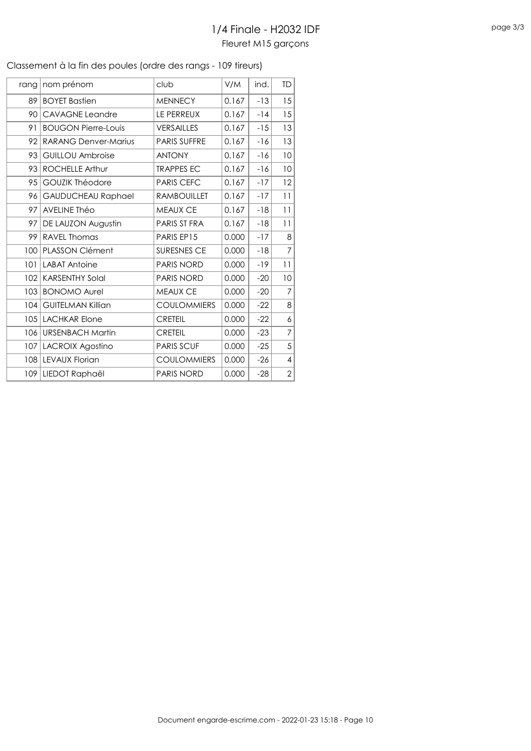| rang<br>89 | nom prénom                  | club                | V/M   | ind.  | TD             |
|------------|-----------------------------|---------------------|-------|-------|----------------|
|            |                             |                     |       |       |                |
|            | <b>BOYET Bastien</b>        | <b>MENNECY</b>      | 0.167 | $-13$ | 15             |
| 90         | <b>CAVAGNE Leandre</b>      | LE PERREUX          | 0.167 | $-14$ | 15             |
| 91         | <b>BOUGON Pierre-Louis</b>  | <b>VERSAILLES</b>   | 0.167 | $-15$ | 13             |
| 92         | <b>RARANG Denver-Marius</b> | <b>PARIS SUFFRE</b> | 0.167 | $-16$ | 13             |
| 93         | <b>GUILLOU Ambroise</b>     | <b>ANTONY</b>       | 0.167 | $-16$ | 10             |
| 93         | <b>ROCHELLE Arthur</b>      | <b>TRAPPES EC</b>   | 0.167 | $-16$ | 10             |
| 95         | <b>GOUZIK Théodore</b>      | <b>PARIS CEFC</b>   | 0.167 | $-17$ | 12             |
| 96         | <b>GAUDUCHEAU Raphael</b>   | <b>RAMBOUILLET</b>  | 0.167 | $-17$ | 11             |
| 97         | <b>AVELINE Théo</b>         | <b>MEAUX CE</b>     | 0.167 | $-18$ | 11             |
| 97         | DE LAUZON Augustin          | PARIS ST FRA        | 0.167 | $-18$ | 11             |
| 99         | <b>RAVEL Thomas</b>         | PARIS EP15          | 0.000 | $-17$ | 8              |
| 100        | <b>PLASSON Clément</b>      | SURESNES CE         | 0.000 | $-18$ | $\overline{7}$ |
| 101        | <b>LABAT Antoine</b>        | <b>PARIS NORD</b>   | 0.000 | $-19$ | 11             |
| 102        | <b>KARSENTHY Solal</b>      | <b>PARIS NORD</b>   | 0.000 | $-20$ | 10             |
| 103        | <b>BONOMO Aurel</b>         | <b>MEAUX CE</b>     | 0.000 | $-20$ | $\overline{7}$ |
| 104        | <b>GUITELMAN Killian</b>    | <b>COULOMMIERS</b>  | 0.000 | $-22$ | 8              |
| 105        | <b>LACHKAR Elone</b>        | <b>CRETEIL</b>      | 0.000 | $-22$ | 6              |
| 106        | <b>URSENBACH Martin</b>     | <b>CRETEIL</b>      | 0.000 | $-23$ | 7              |
| 107        | <b>LACROIX Agostino</b>     | <b>PARIS SCUF</b>   | 0.000 | $-25$ | 5              |
| 108        | <b>LEVAUX Florian</b>       | <b>COULOMMIERS</b>  | 0.000 | $-26$ | 4              |
| 109        | LIEDOT Raphaël              | <b>PARIS NORD</b>   | 0.000 | $-28$ | $\overline{2}$ |

#### Classement à la fin des poules (ordre des rangs - 109 tireurs)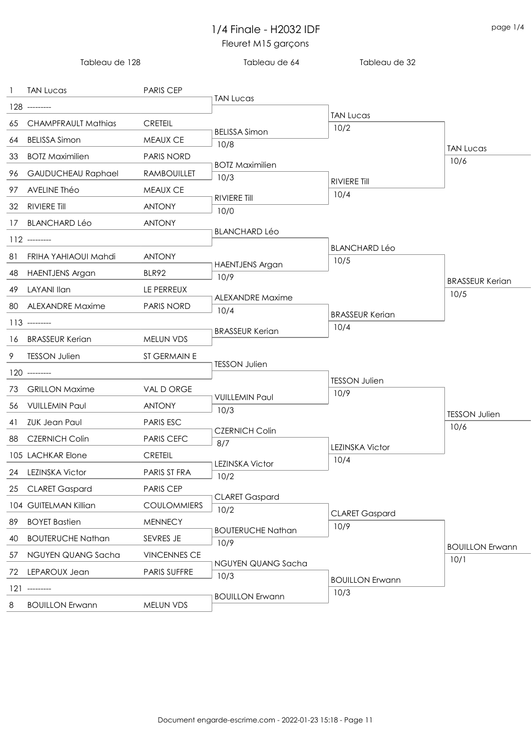|    | Tableau de 128             |                     | Tableau de 64                  | Tableau de 32                  |                              |
|----|----------------------------|---------------------|--------------------------------|--------------------------------|------------------------------|
| -1 | <b>TAN Lucas</b>           | <b>PARIS CEP</b>    |                                |                                |                              |
|    | 128 ---------              |                     | <b>TAN Lucas</b>               |                                |                              |
| 65 | <b>CHAMPFRAULT Mathias</b> | <b>CRETEIL</b>      |                                | <b>TAN Lucas</b><br>10/2       |                              |
| 64 | <b>BELISSA Simon</b>       | MEAUX CE            | <b>BELISSA Simon</b>           |                                |                              |
| 33 | <b>BOTZ Maximilien</b>     | <b>PARIS NORD</b>   | 10/8                           |                                | <b>TAN Lucas</b>             |
| 96 | <b>GAUDUCHEAU Raphael</b>  | <b>RAMBOUILLET</b>  | <b>BOTZ Maximilien</b>         |                                | 10/6                         |
| 97 | AVELINE Théo               | MEAUX CE            | 10/3                           | <b>RIVIERE Till</b>            |                              |
|    | 32 RIVIERE Till            | <b>ANTONY</b>       | RIVIERE Till                   | 10/4                           |                              |
| 17 | <b>BLANCHARD Léo</b>       | <b>ANTONY</b>       | 10/0                           |                                |                              |
|    |                            |                     | <b>BLANCHARD Léo</b>           |                                |                              |
|    | $112$ --------             |                     |                                | <b>BLANCHARD Léo</b>           |                              |
| 81 | FRIHA YAHIAOUI Mahdi       | <b>ANTONY</b>       | <b>HAENTJENS Argan</b>         | 10/5                           |                              |
| 48 | HAENTJENS Argan            | BLR92               | 10/9                           |                                | <b>BRASSEUR Kerian</b>       |
| 49 | LAYANI Ilan                | LE PERREUX          | <b>ALEXANDRE Maxime</b>        |                                | 10/5                         |
| 80 | ALEXANDRE Maxime           | <b>PARIS NORD</b>   | 10/4                           | <b>BRASSEUR Kerian</b>         |                              |
|    | $113$ --------             |                     | <b>BRASSEUR Kerian</b>         | 10/4                           |                              |
| 16 | <b>BRASSEUR Kerian</b>     | MELUN VDS           |                                |                                |                              |
| 9  | <b>TESSON Julien</b>       | ST GERMAIN E        | <b>TESSON Julien</b>           |                                |                              |
|    | $120$ --------             |                     |                                | <b>TESSON Julien</b>           |                              |
| 73 | <b>GRILLON Maxime</b>      | VAL D ORGE          |                                | 10/9                           |                              |
| 56 | <b>VUILLEMIN Paul</b>      | <b>ANTONY</b>       | <b>VUILLEMIN Paul</b><br>10/3  |                                |                              |
| 41 | ZUK Jean Paul              | <b>PARIS ESC</b>    |                                |                                | <b>TESSON Julien</b><br>10/6 |
| 88 | <b>CZERNICH Colin</b>      | PARIS CEFC          | <b>CZERNICH Colin</b><br>8/7   |                                |                              |
|    | 105 LACHKAR Elone          | <b>CRETEIL</b>      |                                | <b>LEZINSKA Victor</b><br>10/4 |                              |
| 24 | <b>LEZINSKA Victor</b>     | PARIS ST FRA        | <b>LEZINSKA Victor</b><br>10/2 |                                |                              |
| 25 | <b>CLARET Gaspard</b>      | PARIS CEP           |                                |                                |                              |
|    | 104 GUITELMAN Killian      | <b>COULOMMIERS</b>  | <b>CLARET Gaspard</b>          |                                |                              |
| 89 | <b>BOYET Bastien</b>       | <b>MENNECY</b>      | 10/2                           | <b>CLARET Gaspard</b>          |                              |
| 40 | <b>BOUTERUCHE Nathan</b>   | SEVRES JE           | <b>BOUTERUCHE Nathan</b>       | 10/9                           |                              |
| 57 | NGUYEN QUANG Sacha         | <b>VINCENNES CE</b> | 10/9                           |                                | <b>BOUILLON Erwann</b>       |
|    |                            |                     | NGUYEN QUANG Sacha             |                                | 10/1                         |
| 72 | LEPAROUX Jean              | PARIS SUFFRE        | 10/3                           | <b>BOUILLON Erwann</b>         |                              |
|    | $121$ ---------            |                     | <b>BOUILLON Erwann</b>         | 10/3                           |                              |
| 8  | <b>BOUILLON Erwann</b>     | MELUN VDS           |                                |                                |                              |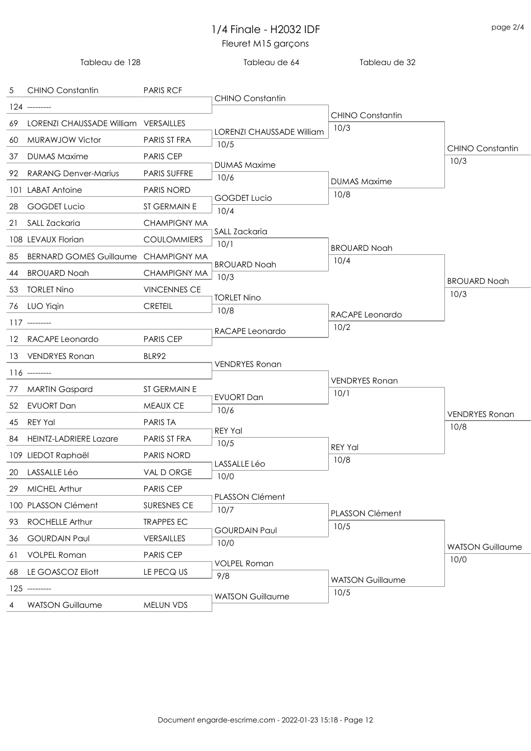|   | Tableau de 128                          |                     | Tableau de 64                            | Tableau de 32                   |                         |
|---|-----------------------------------------|---------------------|------------------------------------------|---------------------------------|-------------------------|
|   | 5 CHINO Constantin                      | <b>PARIS RCF</b>    |                                          |                                 |                         |
|   | 124 ---------                           |                     | <b>CHINO Constantin</b>                  |                                 |                         |
|   | 69 LORENZI CHAUSSADE William VERSAILLES |                     |                                          | <b>CHINO Constantin</b><br>10/3 |                         |
|   | 60 MURAWJOW Victor                      | PARIS ST FRA        | <b>LORENZI CHAUSSADE William</b><br>10/5 |                                 |                         |
|   | 37 DUMAS Maxime                         | <b>PARIS CEP</b>    |                                          |                                 | <b>CHINO Constantin</b> |
|   | 92 RARANG Denver-Marius                 | <b>PARIS SUFFRE</b> | <b>DUMAS Maxime</b>                      |                                 | 10/3                    |
|   | 101 LABAT Antoine                       | <b>PARIS NORD</b>   | 10/6                                     | <b>DUMAS Maxime</b>             |                         |
|   | 28 GOGDET Lucio                         | ST GERMAIN E        | <b>GOGDET Lucio</b>                      | 10/8                            |                         |
|   | 21 SALL Zackaria                        | <b>CHAMPIGNY MA</b> | 10/4                                     |                                 |                         |
|   | 108 LEVAUX Florian                      | <b>COULOMMIERS</b>  | SALL Zackaria                            |                                 |                         |
|   | 85 BERNARD GOMES Guillaume CHAMPIGNY MA |                     | 10/1                                     | <b>BROUARD Noah</b>             |                         |
|   | 44 BROUARD Noah                         | <b>CHAMPIGNY MA</b> | <b>BROUARD Noah</b>                      | 10/4                            |                         |
|   | 53 TORLET Nino                          | <b>VINCENNES CE</b> | 10/3                                     |                                 | <b>BROUARD Noah</b>     |
|   | 76 LUO Yiqin                            | <b>CRETEIL</b>      | <b>TORLET Nino</b>                       |                                 | 10/3                    |
|   |                                         |                     | 10/8                                     | RACAPE Leonardo                 |                         |
|   | $117$ --------                          |                     | RACAPE Leonardo                          | 10/2                            |                         |
|   | 12 RACAPE Leonardo                      | <b>PARIS CEP</b>    |                                          |                                 |                         |
|   | 13 VENDRYES Ronan                       | BLR92               | <b>VENDRYES Ronan</b>                    |                                 |                         |
|   | $116$ --------                          |                     |                                          | <b>VENDRYES Ronan</b>           |                         |
|   | 77 MARTIN Gaspard                       | ST GERMAIN E        | <b>EVUORT Dan</b>                        | 10/1                            |                         |
|   | 52 EVUORT Dan                           | MEAUX CE            | 10/6                                     |                                 | <b>VENDRYES Ronan</b>   |
|   | 45 REY Yal                              | <b>PARIS TA</b>     | <b>REY Yal</b>                           |                                 | 10/8                    |
|   | 84 HEINTZ-LADRIERE Lazare               | PARIS ST FRA        | 10/5                                     | <b>REY Yal</b>                  |                         |
|   | 109 LIEDOT Raphaël                      | PARIS NORD          | LASSALLE Léo                             | 10/8                            |                         |
|   | 20 LASSALLE Léo                         | VAL D ORGE          | 10/0                                     |                                 |                         |
|   | 29 MICHEL Arthur                        | PARIS CEP           | PLASSON Clément                          |                                 |                         |
|   | 100 PLASSON Clément                     | SURESNES CE         | 10/7                                     | PLASSON Clément                 |                         |
|   | 93 ROCHELLE Arthur                      | <b>TRAPPES EC</b>   | <b>GOURDAIN Paul</b>                     | 10/5                            |                         |
|   | 36 GOURDAIN Paul                        | VERSAILLES          | 10/0                                     |                                 | <b>WATSON Guillaume</b> |
|   | 61 VOLPEL Roman                         | PARIS CEP           | <b>VOLPEL Roman</b>                      |                                 | 10/0                    |
|   | 68 LE GOASCOZ Eliott                    | LE PECQ US          | 9/8                                      |                                 |                         |
|   | $125$ ---------                         |                     |                                          | <b>WATSON Guillaume</b><br>10/5 |                         |
| 4 | <b>WATSON Guillaume</b>                 | MELUN VDS           | <b>WATSON Guillaume</b>                  |                                 |                         |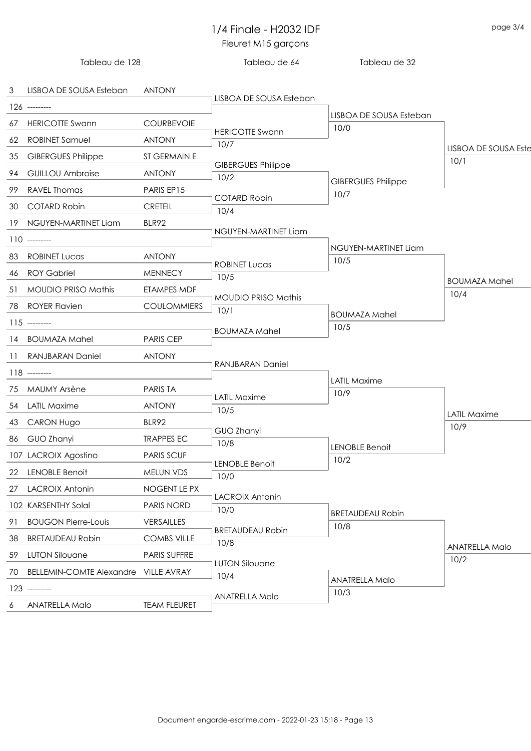|    | Tableau de 128                          |                     | Tableau de 64                     | Tableau de 32                   |                                     |
|----|-----------------------------------------|---------------------|-----------------------------------|---------------------------------|-------------------------------------|
|    | 3 LISBOA DE SOUSA Esteban               | <b>ANTONY</b>       |                                   |                                 |                                     |
|    | 126 ---------                           |                     | LISBOA DE SOUSA Esteban           |                                 |                                     |
|    | 67 HERICOTTE Swann                      | <b>COURBEVOIE</b>   |                                   | LISBOA DE SOUSA Esteban<br>10/0 |                                     |
|    | 62 ROBINET Samuel                       | <b>ANTONY</b>       | <b>HERICOTTE Swann</b><br>10/7    |                                 |                                     |
|    | 35 GIBERGUES Philippe                   | ST GERMAIN E        |                                   |                                 | <b>LISBOA DE SOUSA Este</b><br>10/1 |
|    | 94 GUILLOU Ambroise                     | <b>ANTONY</b>       | <b>GIBERGUES Philippe</b><br>10/2 |                                 |                                     |
|    | 99 RAVEL Thomas                         | PARIS EP15          |                                   | <b>GIBERGUES Philippe</b>       |                                     |
|    | 30 COTARD Robin                         | <b>CRETEIL</b>      | <b>COTARD Robin</b><br>10/4       | 10/7                            |                                     |
|    | 19 NGUYEN-MARTINET Liam                 | BLR92               |                                   |                                 |                                     |
|    | $110$ --------                          |                     | NGUYEN-MARTINET Liam              |                                 |                                     |
|    | 83 ROBINET Lucas                        | <b>ANTONY</b>       |                                   | NGUYEN-MARTINET Liam            |                                     |
|    | 46 ROY Gabriel                          | <b>MENNECY</b>      | <b>ROBINET Lucas</b>              | 10/5                            |                                     |
|    | 51 MOUDIO PRISO Mathis                  | ETAMPES MDF         | 10/5                              |                                 | <b>BOUMAZA Mahel</b>                |
|    |                                         |                     | <b>MOUDIO PRISO Mathis</b>        |                                 | 10/4                                |
|    | 78 ROYER Flavien                        | <b>COULOMMIERS</b>  | 10/1                              | <b>BOUMAZA Mahel</b>            |                                     |
|    | $115$ ---------                         |                     | <b>BOUMAZA Mahel</b>              | 10/5                            |                                     |
|    | 14 BOUMAZA Mahel                        | <b>PARIS CEP</b>    |                                   |                                 |                                     |
|    | 11 RANJBARAN Daniel                     | <b>ANTONY</b>       | <b>RANJBARAN Daniel</b>           |                                 |                                     |
|    | 118 --------                            |                     |                                   | <b>LATIL Maxime</b>             |                                     |
|    | 75 MAUMY Arsène                         | <b>PARIS TA</b>     | <b>LATIL Maxime</b>               | 10/9                            |                                     |
|    | 54 LATIL Maxime                         | <b>ANTONY</b>       | 10/5                              |                                 | <b>LATIL Maxime</b>                 |
|    | 43 CARON Hugo                           | BLR92               | GUO Zhanyi                        |                                 | 10/9                                |
|    | 86 GUO Zhanyi                           | <b>TRAPPES EC</b>   | 10/8                              | <b>LENOBLE Benoit</b>           |                                     |
|    | 107 LACROIX Agostino                    | <b>PARIS SCUF</b>   |                                   | 10/2                            |                                     |
|    | 22 LENOBLE Benoit                       | MELUN VDS           | <b>LENOBLE Benoit</b><br>10/0     |                                 |                                     |
|    | 27 LACROIX Antonin                      | NOGENT LE PX        |                                   |                                 |                                     |
|    | 102 KARSENTHY Solal                     | PARIS NORD          | <b>LACROIX Antonin</b><br>10/0    |                                 |                                     |
| 91 | <b>BOUGON Pierre-Louis</b>              | VERSAILLES          |                                   | <b>BRETAUDEAU Robin</b><br>10/8 |                                     |
|    | 38 BRETAUDEAU Robin                     | <b>COMBS VILLE</b>  | <b>BRETAUDEAU Robin</b><br>10/8   |                                 |                                     |
|    | 59 LUTON Silouane                       | PARIS SUFFRE        |                                   |                                 | <b>ANATRELLA Malo</b><br>10/2       |
|    | 70 BELLEMIN-COMTE Alexandre VILLE AVRAY |                     | <b>LUTON Silouane</b>             |                                 |                                     |
|    | $123$ ---------                         |                     | 10/4                              | <b>ANATRELLA Malo</b>           |                                     |
| 6  | <b>ANATRELLA Malo</b>                   | <b>TEAM FLEURET</b> | <b>ANATRELLA Malo</b>             | 10/3                            |                                     |
|    |                                         |                     |                                   |                                 |                                     |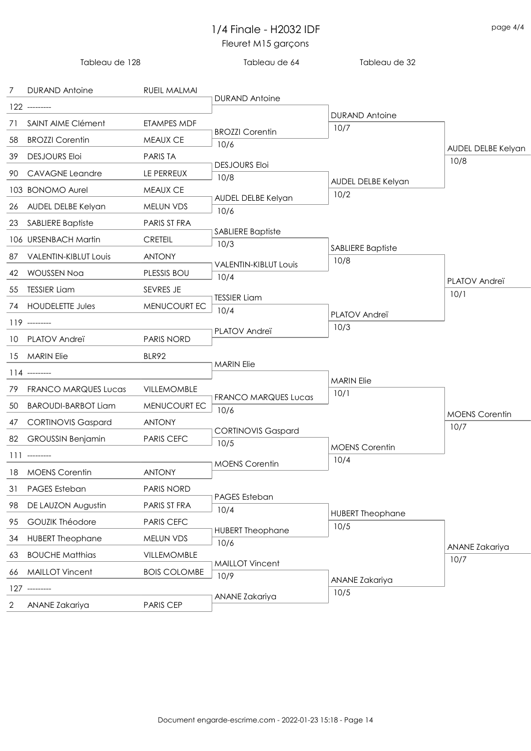|            | Tableau de 128           |                     | Tableau de 64                    | Tableau de 32                   |                        |
|------------|--------------------------|---------------------|----------------------------------|---------------------------------|------------------------|
| $7\degree$ | <b>DURAND Antoine</b>    | RUEIL MALMAI        | <b>DURAND Antoine</b>            |                                 |                        |
|            | $122$ ---------          |                     |                                  | <b>DURAND Antoine</b>           |                        |
|            | 71 SAINT AIME Clément    | ETAMPES MDF         | <b>BROZZI Corentin</b>           | 10/7                            |                        |
|            | 58 BROZZI Corentin       | MEAUX CE            | 10/6                             |                                 | AUDEL DELBE Kelyan     |
|            | 39 DESJOURS Eloi         | <b>PARIS TA</b>     |                                  |                                 | 10/8                   |
|            | 90 CAVAGNE Leandre       | LE PERREUX          | <b>DESJOURS Eloi</b><br>10/8     |                                 |                        |
|            | 103 BONOMO Aurel         | MEAUX CE            |                                  | AUDEL DELBE Kelyan<br>10/2      |                        |
|            | 26 AUDEL DELBE Kelyan    | MELUN VDS           | AUDEL DELBE Kelyan<br>10/6       |                                 |                        |
|            | 23 SABLIERE Baptiste     | PARIS ST FRA        |                                  |                                 |                        |
|            | 106 URSENBACH Martin     | <b>CRETEIL</b>      | <b>SABLIERE Baptiste</b><br>10/3 |                                 |                        |
|            | 87 VALENTIN-KIBLUT Louis | <b>ANTONY</b>       |                                  | <b>SABLIERE Baptiste</b>        |                        |
|            | 42 WOUSSEN Noa           | PLESSIS BOU         | <b>VALENTIN-KIBLUT LOUIS</b>     | 10/8                            |                        |
|            | 55 TESSIER Liam          | SEVRES JE           | 10/4                             |                                 | PLATOV Andreï          |
|            | 74 HOUDELETTE Jules      | MENUCOURT EC        | <b>TESSIER Liam</b>              |                                 | 10/1                   |
|            | 119 ---------            |                     | 10/4                             | PLATOV Andreï                   |                        |
|            | 10 PLATOV Andreï         | <b>PARIS NORD</b>   | PLATOV Andreï                    | 10/3                            |                        |
|            |                          |                     |                                  |                                 |                        |
|            | 15 MARIN Elie            | BLR92               | <b>MARIN Elie</b>                |                                 |                        |
|            | $114$ --------           |                     |                                  | <b>MARIN Elie</b>               |                        |
|            | 79 FRANCO MARQUES Lucas  | VILLEMOMBLE         | <b>FRANCO MARQUES Lucas</b>      | 10/1                            |                        |
|            | 50 BAROUDI-BARBOT Liam   | MENUCOURT EC        | 10/6                             |                                 | <b>MOENS Corentin</b>  |
|            | 47 CORTINOVIS Gaspard    | <b>ANTONY</b>       | <b>CORTINOVIS Gaspard</b>        |                                 | 10/7                   |
|            | 82 GROUSSIN Benjamin     | PARIS CEFC          | 10/5                             | <b>MOENS Corentin</b>           |                        |
|            | $111$ --------           |                     | <b>MOENS Corentin</b>            | 10/4                            |                        |
| 18         | <b>MOENS Corentin</b>    | <b>ANTONY</b>       |                                  |                                 |                        |
| 31         | PAGES Esteban            | <b>PARIS NORD</b>   |                                  |                                 |                        |
| 98         | DE LAUZON Augustin       | PARIS ST FRA        | PAGES Esteban<br>10/4            |                                 |                        |
| 95         | <b>GOUZIK Théodore</b>   | PARIS CEFC          |                                  | <b>HUBERT Theophane</b><br>10/5 |                        |
| 34         | <b>HUBERT Theophane</b>  | MELUN VDS           | <b>HUBERT Theophane</b><br>10/6  |                                 |                        |
| 63         | <b>BOUCHE Matthias</b>   | VILLEMOMBLE         |                                  |                                 | ANANE Zakariya<br>10/7 |
| 66         | <b>MAILLOT Vincent</b>   | <b>BOIS COLOMBE</b> | <b>MAILLOT Vincent</b><br>10/9   |                                 |                        |
|            | $127$ ---------          |                     |                                  | ANANE Zakariya                  |                        |
| 2          | ANANE Zakariya           | <b>PARIS CEP</b>    | ANANE Zakariya                   | 10/5                            |                        |
|            |                          |                     |                                  |                                 |                        |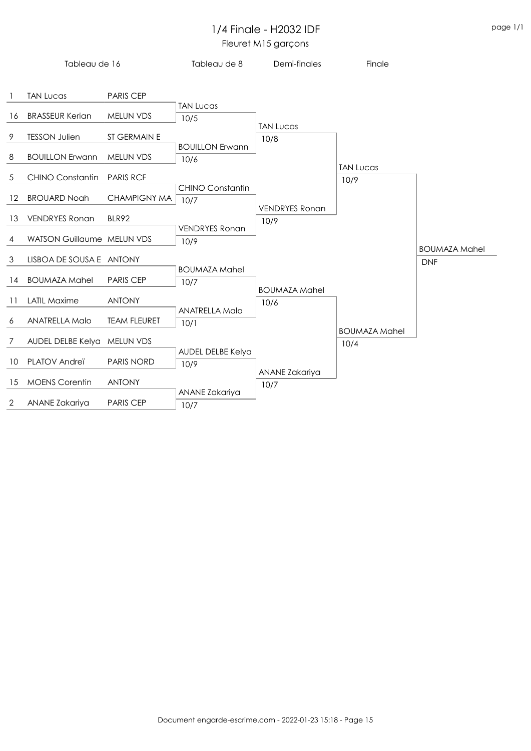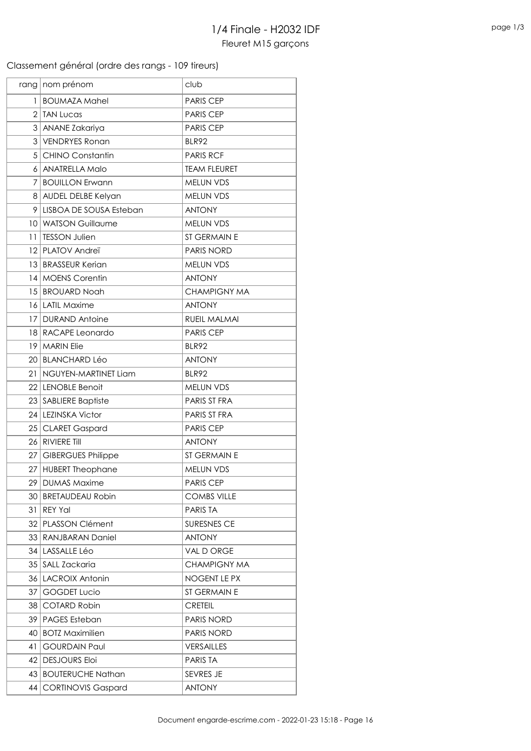### Classement général (ordre des rangs - 109 tireurs)

|    | rang   nom prénom         | club                |
|----|---------------------------|---------------------|
| 1  | <b>BOUMAZA Mahel</b>      | <b>PARIS CEP</b>    |
|    | 2 TAN Lucas               | <b>PARIS CEP</b>    |
|    | 3 ANANE Zakariya          | <b>PARIS CEP</b>    |
|    | 3 VENDRYES Ronan          | BLR92               |
|    | 5 CHINO Constantin        | <b>PARIS RCF</b>    |
|    | 6 ANATRELLA Malo          | <b>TEAM FLEURET</b> |
| 7  | <b>BOUILLON Erwann</b>    | MELUN VDS           |
|    | 8 AUDEL DELBE Kelyan      | MELUN VDS           |
|    | 9 LISBOA DE SOUSA Esteban | <b>ANTONY</b>       |
|    | 10   WATSON Guillaume     | MELUN VDS           |
|    | 11   TESSON Julien        | ST GERMAIN E        |
|    | 12 PLATOV Andreï          | <b>PARIS NORD</b>   |
|    | 13 BRASSEUR Kerian        | MELUN VDS           |
|    | 14 MOENS Corentin         | <b>ANTONY</b>       |
|    | 15 BROUARD Noah           | <b>CHAMPIGNY MA</b> |
|    | 16 LATIL Maxime           | <b>ANTONY</b>       |
|    | 17 DURAND Antoine         | RUEIL MALMAI        |
|    | 18 RACAPE Leonardo        | <b>PARIS CEP</b>    |
|    | 19   MARIN Elie           | <b>BLR92</b>        |
|    | 20 BLANCHARD Léo          | <b>ANTONY</b>       |
|    | 21   NGUYEN-MARTINET Liam | <b>BLR92</b>        |
|    | 22 LENOBLE Benoit         | MELUN VDS           |
|    | 23 SABLIERE Baptiste      | PARIS ST FRA        |
|    | 24 LEZINSKA Victor        | PARIS ST FRA        |
|    | 25 CLARET Gaspard         | <b>PARIS CEP</b>    |
|    | 26 RIVIERE TIII           | <b>ANTONY</b>       |
|    | 27 GIBERGUES Philippe     | ST GERMAIN E        |
|    | 27 HUBERT Theophane       | MELUN VDS           |
|    | 29   DUMAS Maxime         | <b>PARIS CEP</b>    |
|    | 30   BRETAUDEAU Robin     | <b>COMBS VILLE</b>  |
| 31 | <b>REY Yal</b>            | PARIS TA            |
|    | 32   PLASSON Clément      | SURESNES CE         |
|    | 33 RANJBARAN Daniel       | <b>ANTONY</b>       |
|    | 34 LASSALLE Léo           | <b>VAL D ORGE</b>   |
| 35 | <b>SALL Zackaria</b>      | CHAMPIGNY MA        |
|    | 36   LACROIX Antonin      | NOGENT LE PX        |
| 37 | <b>GOGDET Lucio</b>       | ST GERMAIN E        |
| 38 | <b>COTARD Robin</b>       | <b>CRETEIL</b>      |
|    | 39   PAGES Esteban        | <b>PARIS NORD</b>   |
| 40 | <b>BOTZ Maximilien</b>    | PARIS NORD          |
| 41 | <b>GOURDAIN Paul</b>      | <b>VERSAILLES</b>   |
|    | 42   DESJOURS Eloi        | PARIS TA            |
|    | 43 BOUTERUCHE Nathan      | SEVRES JE           |
|    | 44   CORTINOVIS Gaspard   | <b>ANTONY</b>       |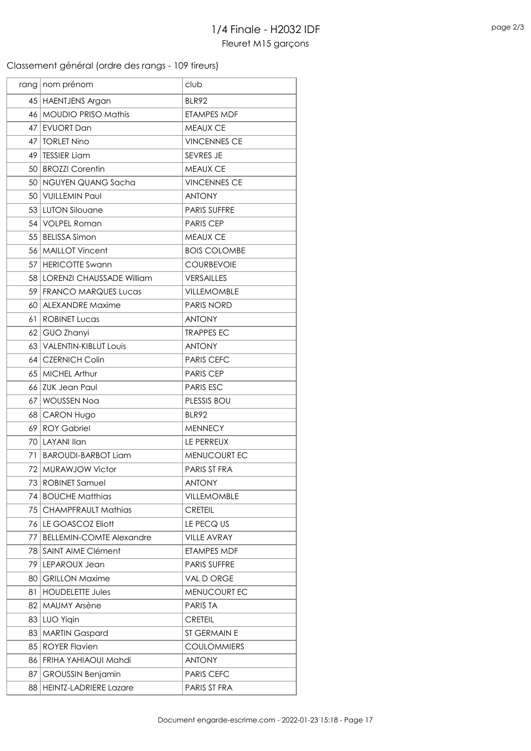### Classement général (ordre des rangs - 109 tireurs)

|     | rang   nom prénom               | club                |
|-----|---------------------------------|---------------------|
|     | 45 HAENTJENS Argan              | <b>BLR92</b>        |
|     | 46 MOUDIO PRISO Mathis          | <b>ETAMPES MDF</b>  |
|     | 47 EVUORT Dan                   | <b>MEAUX CE</b>     |
|     | 47   TORLET Nino                | <b>VINCENNES CE</b> |
|     | 49   TESSIER Liam               | SEVRES JE           |
|     | 50   BROZZI Corentin            | <b>MEAUX CE</b>     |
|     | 50 NGUYEN QUANG Sacha           | <b>VINCENNES CE</b> |
|     | 50 VUILLEMIN Paul               | <b>ANTONY</b>       |
|     | 53 LUTON Silouane               | PARIS SUFFRE        |
|     | 54   VOLPEL Roman               | <b>PARIS CEP</b>    |
|     | 55   BELISSA Simon              | MEAUX CE            |
|     | 56   MAILLOT Vincent            | <b>BOIS COLOMBE</b> |
|     | 57   HERICOTTE Swann            | <b>COURBEVOIE</b>   |
|     | 58 LORENZI CHAUSSADE William    | <b>VERSAILLES</b>   |
|     | 59 FRANCO MARQUES Lucas         | <b>VILLEMOMBLE</b>  |
|     | 60 ALEXANDRE Maxime             | <b>PARIS NORD</b>   |
|     | 61   ROBINET Lucas              | <b>ANTONY</b>       |
|     | 62 GUO Zhanyi                   | <b>TRAPPES EC</b>   |
|     | 63   VALENTIN-KIBLUT Louis      | <b>ANTONY</b>       |
|     | 64   CZERNICH Colin             | <b>PARIS CEFC</b>   |
|     | 65   MICHEL Arthur              | <b>PARIS CEP</b>    |
|     | 66 ZUK Jean Paul                | <b>PARIS ESC</b>    |
|     | 67 WOUSSEN Noa                  | PLESSIS BOU         |
|     | 68 CARON Hugo                   | BLR92               |
|     | 69 ROY Gabriel                  | <b>MENNECY</b>      |
|     | 70 LAYANI Ilan                  | LE PERREUX          |
|     | 71   BAROUDI-BARBOT Liam        | MENUCOURT EC        |
|     | 72 MURAWJOW Victor              | PARIS ST FRA        |
|     | 73 ROBINET Samuel               | <b>ANTONY</b>       |
|     | 74 BOUCHE Matthias              | VILLEMOMBLE         |
| 75  | <b>CHAMPFRAULT Mathias</b>      | <b>CRETEIL</b>      |
|     | 76 LE GOASCOZ Eliott            | LE PECQ US          |
| 77  | <b>BELLEMIN-COMTE Alexandre</b> | <b>VILLE AVRAY</b>  |
| 78  | <b>SAINT AIME Clément</b>       | ETAMPES MDF         |
|     | 79 LEPAROUX Jean                | PARIS SUFFRE        |
|     | 80 GRILLON Maxime               | VAL D ORGE          |
| 81  | <b>HOUDELETTE Jules</b>         | MENUCOURT EC        |
| 82. | MAUMY Arsène                    | <b>PARIS TA</b>     |
|     | 83 LUO Yigin                    | <b>CRETEIL</b>      |
| 83  | <b>MARTIN Gaspard</b>           | ST GERMAIN E        |
| 85  | <b>ROYER Flavien</b>            | <b>COULOMMIERS</b>  |
| 86  | FRIHA YAHIAOUI Mahdi            | <b>ANTONY</b>       |
| 87  | <b>GROUSSIN Benjamin</b>        | <b>PARIS CEFC</b>   |
|     | 88   HEINTZ-LADRIERE Lazare     | PARIS ST FRA        |